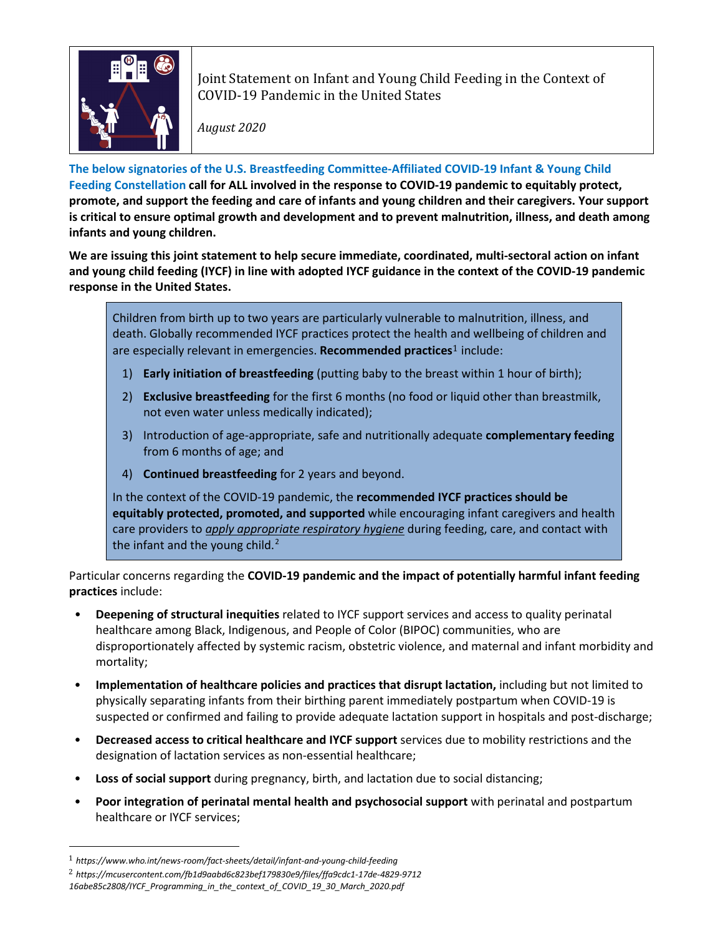

Joint Statement on Infant and Young Child Feeding in the Context of COVID-19 Pandemic in the United States

*August 2020*

**The below signatories of the U.S. Breastfeeding Committee-Affiliated COVID-19 Infant & Young Child Feeding Constellation call for ALL involved in the response to COVID-19 pandemic to equitably protect, promote, and support the feeding and care of infants and young children and their caregivers. Your support is critical to ensure optimal growth and development and to prevent malnutrition, illness, and death among infants and young children.**

**We are issuing this joint statement to help secure immediate, coordinated, multi-sectoral action on infant and young child feeding (IYCF) in line with adopted IYCF guidance in the context of the COVID-19 pandemic response in the United States.** 

Children from birth up to two years are particularly vulnerable to malnutrition, illness, and death. Globally recommended IYCF practices protect the health and wellbeing of children and are especially relevant in emergencies. **Recommended practices**[1](#page-0-0) include:

- 1) **Early initiation of breastfeeding** (putting baby to the breast within 1 hour of birth);
- 2) **Exclusive breastfeeding** for the first 6 months (no food or liquid other than breastmilk, not even water unless medically indicated);
- 3) Introduction of age-appropriate, safe and nutritionally adequate **complementary feeding**  from 6 months of age; and
- 4) **Continued breastfeeding** for 2 years and beyond.

In the context of the COVID-19 pandemic, the **recommended IYCF practices should be equitably protected, promoted, and supported** while encouraging infant caregivers and health care providers to *apply appropriate respiratory hygiene* during feeding, care, and contact with the infant and the young child. $<sup>2</sup>$  $<sup>2</sup>$  $<sup>2</sup>$ </sup>

Particular concerns regarding the **COVID-19 pandemic and the impact of potentially harmful infant feeding practices** include:

- **Deepening of structural inequities** related to IYCF support services and access to quality perinatal healthcare among Black, Indigenous, and People of Color (BIPOC) communities, who are disproportionately affected by systemic racism, obstetric violence, and maternal and infant morbidity and mortality;
- **Implementation of healthcare policies and practices that disrupt lactation,** including but not limited to physically separating infants from their birthing parent immediately postpartum when COVID-19 is suspected or confirmed and failing to provide adequate lactation support in hospitals and post-discharge;
- **Decreased access to critical healthcare and IYCF support** services due to mobility restrictions and the designation of lactation services as non-essential healthcare;
- **Loss of social support** during pregnancy, birth, and lactation due to social distancing;
- **Poor integration of perinatal mental health and psychosocial support** with perinatal and postpartum healthcare or IYCF services;

<span id="page-0-0"></span><sup>1</sup> *https://www.who.int/news-room/fact-sheets/detail/infant-and-young-child-feeding* 

<span id="page-0-1"></span><sup>2</sup> *https://mcusercontent.com/fb1d9aabd6c823bef179830e9/files/ffa9cdc1-17de-4829-9712*

*<sup>16</sup>abe85c2808/IYCF\_Programming\_in\_the\_context\_of\_COVID\_19\_30\_March\_2020.pdf*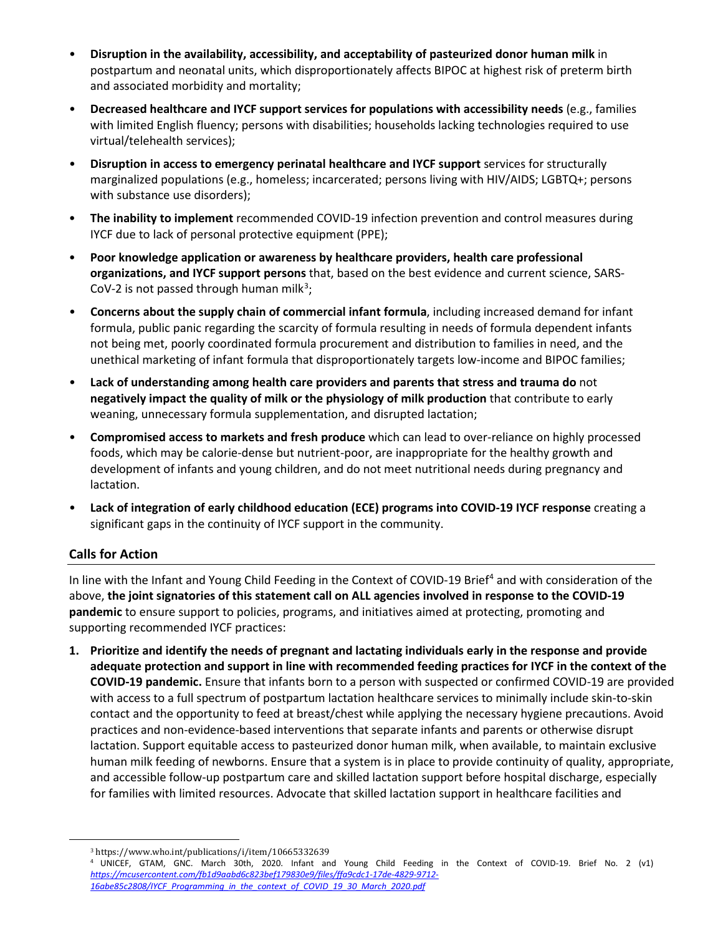- **Disruption in the availability, accessibility, and acceptability of pasteurized donor human milk** in postpartum and neonatal units, which disproportionately affects BIPOC at highest risk of preterm birth and associated morbidity and mortality;
- **Decreased healthcare and IYCF support services for populations with accessibility needs** (e.g., families with limited English fluency; persons with disabilities; households lacking technologies required to use virtual/telehealth services);
- **Disruption in access to emergency perinatal healthcare and IYCF support** services for structurally marginalized populations (e.g., homeless; incarcerated; persons living with HIV/AIDS; LGBTQ+; persons with substance use disorders);
- **The inability to implement** recommended COVID-19 infection prevention and control measures during IYCF due to lack of personal protective equipment (PPE);
- **Poor knowledge application or awareness by healthcare providers, health care professional organizations, and IYCF support persons** that, based on the best evidence and current science, SARS-CoV-2 is not passed through human milk<sup>[3](#page-1-0)</sup>;
- **Concerns about the supply chain of commercial infant formula**, including increased demand for infant formula, public panic regarding the scarcity of formula resulting in needs of formula dependent infants not being met, poorly coordinated formula procurement and distribution to families in need, and the unethical marketing of infant formula that disproportionately targets low-income and BIPOC families;
- **Lack of understanding among health care providers and parents that stress and trauma do** not **negatively impact the quality of milk or the physiology of milk production** that contribute to early weaning, unnecessary formula supplementation, and disrupted lactation;
- **Compromised access to markets and fresh produce** which can lead to over-reliance on highly processed foods, which may be calorie-dense but nutrient-poor, are inappropriate for the healthy growth and development of infants and young children, and do not meet nutritional needs during pregnancy and lactation.
- **Lack of integration of early childhood education (ECE) programs into COVID-19 IYCF response** creating a significant gaps in the continuity of IYCF support in the community.

## **Calls for Action**

In line with the Infant and Young Child Feeding in the Context of COVID-19 Brief<sup>[4](#page-1-1)</sup> and with consideration of the above, **the joint signatories of this statement call on ALL agencies involved in response to the COVID-19 pandemic** to ensure support to policies, programs, and initiatives aimed at protecting, promoting and supporting recommended IYCF practices:

**1. Prioritize and identify the needs of pregnant and lactating individuals early in the response and provide adequate protection and support in line with recommended feeding practices for IYCF in the context of the COVID-19 pandemic.** Ensure that infants born to a person with suspected or confirmed COVID-19 are provided with access to a full spectrum of postpartum lactation healthcare services to minimally include skin-to-skin contact and the opportunity to feed at breast/chest while applying the necessary hygiene precautions. Avoid practices and non-evidence-based interventions that separate infants and parents or otherwise disrupt lactation. Support equitable access to pasteurized donor human milk, when available, to maintain exclusive human milk feeding of newborns. Ensure that a system is in place to provide continuity of quality, appropriate, and accessible follow-up postpartum care and skilled lactation support before hospital discharge, especially for families with limited resources. Advocate that skilled lactation support in healthcare facilities and

<span id="page-1-1"></span><span id="page-1-0"></span><sup>&</sup>lt;sup>3</sup> https://www.who.int/publications/i/item/10665332639<br><sup>4</sup> UNICEF, GTAM, GNC. March 30th, 2020. Infant and Young Child Feeding in the Context of COVID-19. Brief No. 2 (v1) *[https://mcusercontent.com/fb1d9aabd6c823bef179830e9/files/ffa9cdc1-17de-4829-9712-](https://mcusercontent.com/fb1d9aabd6c823bef179830e9/files/ffa9cdc1-17de-4829-9712-16abe85c2808/IYCF_Programming_in_the_context_of_COVID_19_30_March_2020.pdf) [16abe85c2808/IYCF\\_Programming\\_in\\_the\\_context\\_of\\_COVID\\_19\\_30\\_March\\_2020.pdf](https://mcusercontent.com/fb1d9aabd6c823bef179830e9/files/ffa9cdc1-17de-4829-9712-16abe85c2808/IYCF_Programming_in_the_context_of_COVID_19_30_March_2020.pdf)*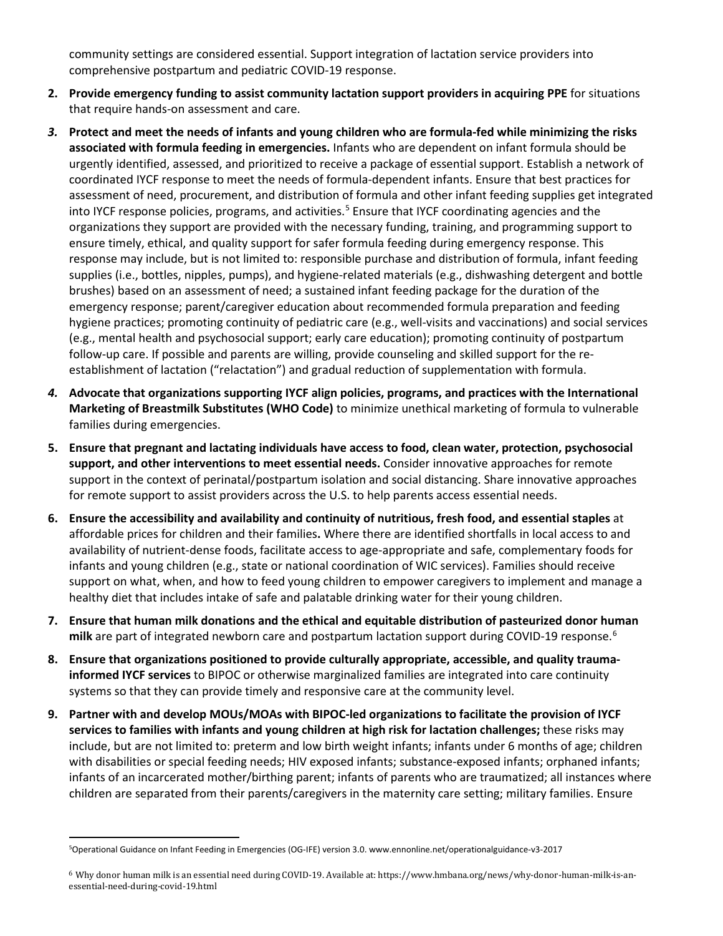community settings are considered essential. Support integration of lactation service providers into comprehensive postpartum and pediatric COVID-19 response.

- **2. Provide emergency funding to assist community lactation support providers in acquiring PPE** for situations that require hands-on assessment and care.
- *3.* **Protect and meet the needs of infants and young children who are formula-fed while minimizing the risks associated with formula feeding in emergencies.** Infants who are dependent on infant formula should be urgently identified, assessed, and prioritized to receive a package of essential support. Establish a network of coordinated IYCF response to meet the needs of formula-dependent infants. Ensure that best practices for assessment of need, procurement, and distribution of formula and other infant feeding supplies get integrated into IYCF response policies, programs, and activities.<sup>[5](#page-2-0)</sup> Ensure that IYCF coordinating agencies and the organizations they support are provided with the necessary funding, training, and programming support to ensure timely, ethical, and quality support for safer formula feeding during emergency response. This response may include, but is not limited to: responsible purchase and distribution of formula, infant feeding supplies (i.e., bottles, nipples, pumps), and hygiene-related materials (e.g., dishwashing detergent and bottle brushes) based on an assessment of need; a sustained infant feeding package for the duration of the emergency response; parent/caregiver education about recommended formula preparation and feeding hygiene practices; promoting continuity of pediatric care (e.g., well-visits and vaccinations) and social services (e.g., mental health and psychosocial support; early care education); promoting continuity of postpartum follow-up care. If possible and parents are willing, provide counseling and skilled support for the reestablishment of lactation ("relactation") and gradual reduction of supplementation with formula.
- *4.* **Advocate that organizations supporting IYCF align policies, programs, and practices with the International Marketing of Breastmilk Substitutes (WHO Code)** to minimize unethical marketing of formula to vulnerable families during emergencies.
- **5. Ensure that pregnant and lactating individuals have access to food, clean water, protection, psychosocial support, and other interventions to meet essential needs.** Consider innovative approaches for remote support in the context of perinatal/postpartum isolation and social distancing. Share innovative approaches for remote support to assist providers across the U.S. to help parents access essential needs.
- **6. Ensure the accessibility and availability and continuity of nutritious, fresh food, and essential staples** at affordable prices for children and their families**.** Where there are identified shortfalls in local access to and availability of nutrient-dense foods, facilitate access to age-appropriate and safe, complementary foods for infants and young children (e.g., state or national coordination of WIC services). Families should receive support on what, when, and how to feed young children to empower caregivers to implement and manage a healthy diet that includes intake of safe and palatable drinking water for their young children.
- **7. Ensure that human milk donations and the ethical and equitable distribution of pasteurized donor human milk** are part of integrated newborn care and postpartum lactation support during COVID-19 response. [6](#page-2-1)
- **8. Ensure that organizations positioned to provide culturally appropriate, accessible, and quality traumainformed IYCF services** to BIPOC or otherwise marginalized families are integrated into care continuity systems so that they can provide timely and responsive care at the community level.
- **9. Partner with and develop MOUs/MOAs with BIPOC-led organizations to facilitate the provision of IYCF services to families with infants and young children at high risk for lactation challenges;** these risks may include, but are not limited to: preterm and low birth weight infants; infants under 6 months of age; children with disabilities or special feeding needs; HIV exposed infants; substance-exposed infants; orphaned infants; infants of an incarcerated mother/birthing parent; infants of parents who are traumatized; all instances where children are separated from their parents/caregivers in the maternity care setting; military families. Ensure

<span id="page-2-0"></span><sup>5</sup>Operational Guidance on Infant Feeding in Emergencies (OG-IFE) version 3.0. www.ennonline.net/operationalguidance-v3-2017

<span id="page-2-1"></span><sup>6</sup> Why donor human milk is an essential need during COVID-19. Available at: https://www.hmbana.org/news/why-donor-human-milk-is-anessential-need-during-covid-19.html